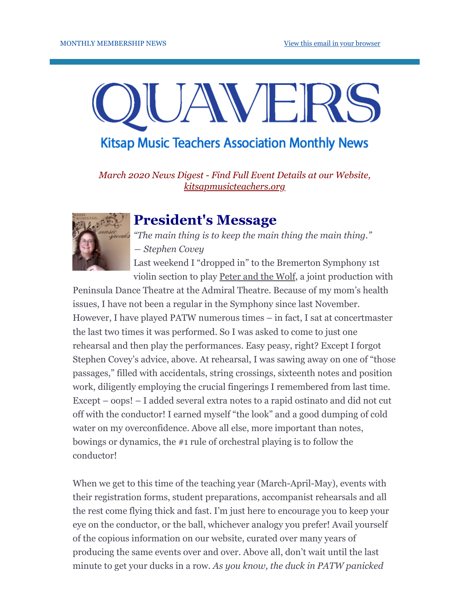# AVE **Kitsap Music Teachers Association Monthly News**

*March 2020 News Digest - Find Full Event Details at our Website, [kitsapmusicteachers.org](http://www.kitsapmusicteachers.org/)*



### **President's Message**

*"The main thing is to keep the main thing the main thing." ― Stephen Covey*

Last weekend I "dropped in" to the Bremerton Symphony 1st violin section to play Peter and the Wolf, a joint production with

Peninsula Dance Theatre at the Admiral Theatre. Because of my mom's health issues, I have not been a regular in the Symphony since last November. However, I have played PATW numerous times – in fact, I sat at concertmaster the last two times it was performed. So I was asked to come to just one rehearsal and then play the performances. Easy peasy, right? Except I forgot Stephen Covey's advice, above. At rehearsal, I was sawing away on one of "those passages," filled with accidentals, string crossings, sixteenth notes and position work, diligently employing the crucial fingerings I remembered from last time. Except – oops! – I added several extra notes to a rapid ostinato and did not cut off with the conductor! I earned myself "the look" and a good dumping of cold water on my overconfidence. Above all else, more important than notes, bowings or dynamics, the #1 rule of orchestral playing is to follow the conductor!

When we get to this time of the teaching year (March-April-May), events with their registration forms, student preparations, accompanist rehearsals and all the rest come flying thick and fast. I'm just here to encourage you to keep your eye on the conductor, or the ball, whichever analogy you prefer! Avail yourself of the copious information on our website, curated over many years of producing the same events over and over. Above all, don't wait until the last minute to get your ducks in a row. *As you know, the duck in PATW panicked*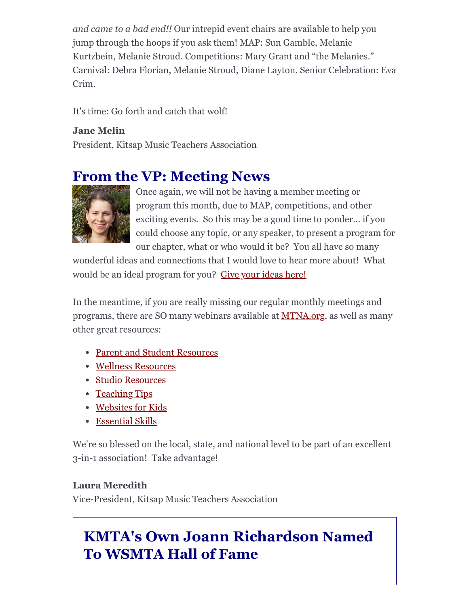*and came to a bad end!!* Our intrepid event chairs are available to help you jump through the hoops if you ask them! MAP: Sun Gamble, Melanie Kurtzbein, Melanie Stroud. Competitions: Mary Grant and "the Melanies." Carnival: Debra Florian, Melanie Stroud, Diane Layton. Senior Celebration: Eva Crim.

It's time: Go forth and catch that wolf!

**Jane Melin** President, Kitsap Music Teachers Association

## **From the VP: Meeting News**



Once again, we will not be having a member meeting or program this month, due to MAP, competitions, and other exciting events. So this may be a good time to ponder... if you could choose any topic, or any speaker, to present a program for our chapter, what or who would it be? You all have so many

wonderful ideas and connections that I would love to hear more about! What would be an ideal program for you? [Give your ideas here!](https://docs.google.com/forms/d/e/1FAIpQLSeyPETjCyMK7q7D9iOipKHps6go8zxwQQFtFvEnBv0ZkLQWsA/viewform?usp=sf_link)

In the meantime, if you are really missing our regular monthly meetings and programs, there are SO many webinars available at [MTNA.org,](https://www.mtna.org/MTNA/Learn/Webinars/2019_Webinars.aspx) as well as many other great resources:

- [Parent and Student Resources](https://www.mtna.org/MTNA/Learn/Parent_and_Student_Resources/Parent_and_Student_Resources.aspx)
- [Wellness Resources](https://www.mtna.org/MTNA/Learn/Wellness_Resouces/Musician_Wellness.aspx)
- [Studio Resources](https://www.mtna.org/MTNA/Learn/Studio_Resources.aspx)
- [Teaching Tips](https://www.mtna.org/MTNA/Learn/Webinars/[@]MTNA/Learn/Tips/Teaching_Tips.aspx)
- [Websites for Kids](https://www.mtna.org/MTNA/Learn/Parent_and_Student_Resources/Websites_for_Kids.aspx)
- [Essential Skills](https://www.mtna.org/MTNA/Learn/Essential_Skills_Series/Essential_Skills_Series.aspx)

We're so blessed on the local, state, and national level to be part of an excellent 3-in-1 association! Take advantage!

#### **Laura Meredith**

Vice-President, Kitsap Music Teachers Association

## **KMTA's Own Joann Richardson Named To WSMTA Hall of Fame**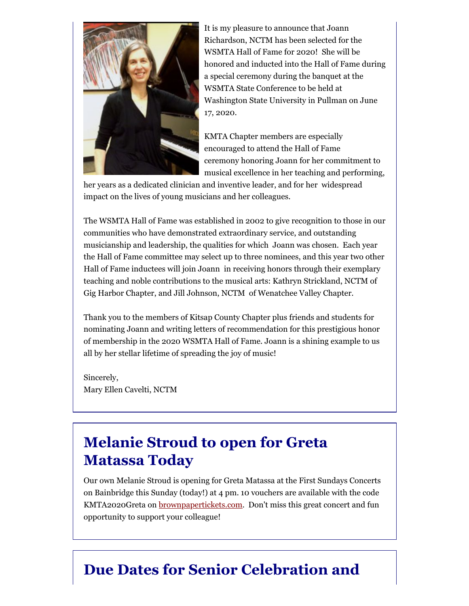

It is my pleasure to announce that Joann Richardson, NCTM has been selected for the WSMTA Hall of Fame for 2020! She will be honored and inducted into the Hall of Fame during a special ceremony during the banquet at the WSMTA State Conference to be held at Washington State University in Pullman on June 17, 2020.

KMTA Chapter members are especially encouraged to attend the Hall of Fame ceremony honoring Joann for her commitment to musical excellence in her teaching and performing,

her years as a dedicated clinician and inventive leader, and for her widespread impact on the lives of young musicians and her colleagues.

The WSMTA Hall of Fame was established in 2002 to give recognition to those in our communities who have demonstrated extraordinary service, and outstanding musicianship and leadership, the qualities for which Joann was chosen. Each year the Hall of Fame committee may select up to three nominees, and this year two other Hall of Fame inductees will join Joann in receiving honors through their exemplary teaching and noble contributions to the musical arts: Kathryn Strickland, NCTM of Gig Harbor Chapter, and Jill Johnson, NCTM of Wenatchee Valley Chapter.

Thank you to the members of Kitsap County Chapter plus friends and students for nominating Joann and writing letters of recommendation for this prestigious honor of membership in the 2020 WSMTA Hall of Fame. Joann is a shining example to us all by her stellar lifetime of spreading the joy of music!

Sincerely, Mary Ellen Cavelti, NCTM

### **Melanie Stroud to open for Greta Matassa Today**

Our own Melanie Stroud is opening for Greta Matassa at the First Sundays Concerts on Bainbridge this Sunday (today!) at 4 pm. 10 vouchers are available with the code KMTA2020Greta on **[brownpapertickets.com](http://brownpapertickets.com/)**. Don't miss this great concert and fun opportunity to support your colleague!

### **Due Dates for Senior Celebration and**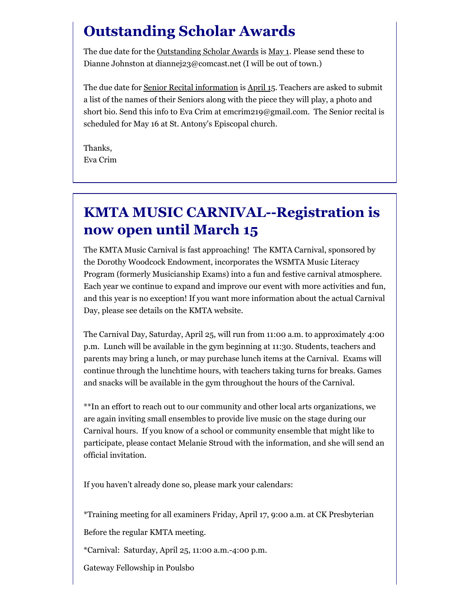### **Outstanding Scholar Awards**

The due date for the Outstanding Scholar Awards is May 1. Please send these to Dianne Johnston at diannej23@comcast.net (I will be out of town.)

The due date for Senior Recital information is April 15. Teachers are asked to submit a list of the names of their Seniors along with the piece they will play, a photo and short bio. Send this info to Eva Crim at emcrim219@gmail.com. The Senior recital is scheduled for May 16 at St. Antony's Episcopal church.

Thanks, Eva Crim

### **KMTA MUSIC CARNIVAL--Registration is now open until March 15**

The KMTA Music Carnival is fast approaching! The KMTA Carnival, sponsored by the Dorothy Woodcock Endowment, incorporates the WSMTA Music Literacy Program (formerly Musicianship Exams) into a fun and festive carnival atmosphere. Each year we continue to expand and improve our event with more activities and fun, and this year is no exception! If you want more information about the actual Carnival Day, please see details on the KMTA website.

The Carnival Day, Saturday, April 25, will run from 11:00 a.m. to approximately 4:00 p.m. Lunch will be available in the gym beginning at 11:30. Students, teachers and parents may bring a lunch, or may purchase lunch items at the Carnival. Exams will continue through the lunchtime hours, with teachers taking turns for breaks. Games and snacks will be available in the gym throughout the hours of the Carnival.

\*\*In an effort to reach out to our community and other local arts organizations, we are again inviting small ensembles to provide live music on the stage during our Carnival hours. If you know of a school or community ensemble that might like to participate, please contact Melanie Stroud with the information, and she will send an official invitation.

If you haven't already done so, please mark your calendars:

\*Training meeting for all examiners Friday, April 17, 9:00 a.m. at CK Presbyterian

Before the regular KMTA meeting.

\*Carnival: Saturday, April 25, 11:00 a.m.-4:00 p.m.

Gateway Fellowship in Poulsbo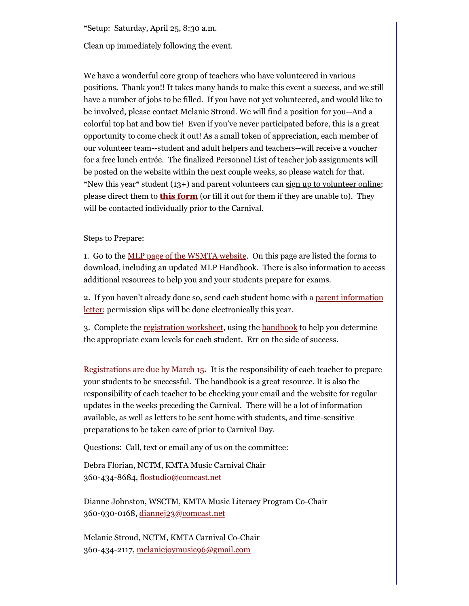\*Setup: Saturday, April 25, 8:30 a.m.

Clean up immediately following the event.

We have a wonderful core group of teachers who have volunteered in various positions. Thank you!! It takes many hands to make this event a success, and we still have a number of jobs to be filled. If you have not yet volunteered, and would like to be involved, please contact Melanie Stroud. We will find a position for you--And a colorful top hat and bow tie! Even if you've never participated before, this is a great opportunity to come check it out! As a small token of appreciation, each member of our volunteer team--student and adult helpers and teachers--will receive a voucher for a free lunch entrée. The finalized Personnel List of teacher job assignments will be posted on the website within the next couple weeks, so please watch for that. \*New this year\* student (13+) and parent volunteers can  $\frac{\text{sign up to volutter online}}{\text{min}}$ ; please direct them to **[this form](https://docs.google.com/forms/d/e/1FAIpQLSfKkDrUMikhE-Szp4ozG5dY41uYD7wz9SxrvO9eBlP-xE6tkw/viewform?usp=sf_link)** (or fill it out for them if they are unable to). They will be contacted individually prior to the Carnival.

#### Steps to Prepare:

1. Go to the [MLP page of the WSMTA website.](https://wsmta.org/programs-for-students/musicianship-examinations/) On this page are listed the forms to download, including an updated MLP Handbook. There is also information to access additional resources to help you and your students prepare for exams.

[2. If you haven't already done so, send each student home with a parent information](http://www.kitsapmusicteachers.org/wp-content/uploads/2020/01/Music-Carnival-information-letter-and-registration-for-parents-2020.doc) letter; permission slips will be done electronically this year.

3. Complete the [registration worksheet,](http://www.kitsapmusicteachers.org/carnivalmlp-registration-worksheet/) using the [handbook](https://wsmta.org/wp-content/uploads/2017/12/MLP_handbook.pdf) to help you determine the appropriate exam levels for each student. Err on the side of success.

[Registrations are due by March 15](https://docs.google.com/forms/d/e/1FAIpQLSeSlvwGCLZlEyj10GZ7hcM0tQ18U43pvR3f_26xMQu6S2YtRQ/viewform?usp=sf_link)**[.](https://docs.google.com/forms/d/e/1FAIpQLSeSlvwGCLZlEyj10GZ7hcM0tQ18U43pvR3f_26xMQu6S2YtRQ/viewform?usp=sf_link)** It is the responsibility of each teacher to prepare your students to be successful. The handbook is a great resource. It is also the responsibility of each teacher to be checking your email and the website for regular updates in the weeks preceding the Carnival. There will be a lot of information available, as well as letters to be sent home with students, and time-sensitive preparations to be taken care of prior to Carnival Day.

Questions: Call, text or email any of us on the committee:

Debra Florian, NCTM, KMTA Music Carnival Chair 360-434-8684, [flostudio@comcast.net](mailto:flostudio@comcast.net)

Dianne Johnston, WSCTM, KMTA Music Literacy Program Co-Chair 360-930-0168, [diannej23@comcast.net](mailto:diannej23@comcast.net)

Melanie Stroud, NCTM, KMTA Carnival Co-Chair 360-434-2117, [melaniejoymusic96@gmail.com](mailto:melaniejoymusic96@gmail.com)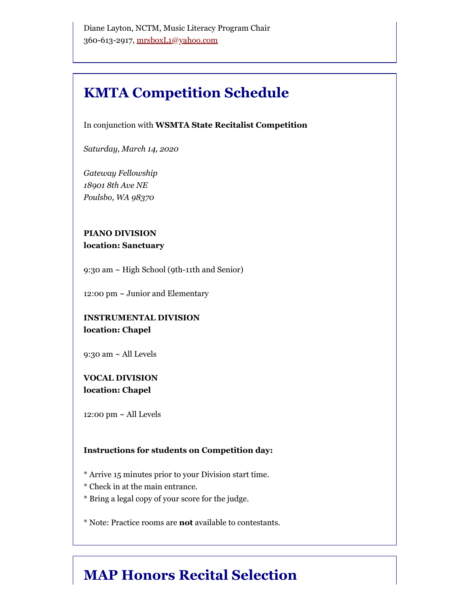### **KMTA Competition Schedule**

In conjunction with **WSMTA State Recitalist Competition** 

*Saturday, March 14, 2020*

*Gateway Fellowship 18901 8th Ave NE Poulsbo, WA 98370*

#### **PIANO DIVISION location: Sanctuary**

9:30 am ~ High School (9th-11th and Senior)

12:00 pm ~ Junior and Elementary

#### **INSTRUMENTAL DIVISION location: Chapel**

9:30 am ~ All Levels

#### **VOCAL DIVISION location: Chapel**

12:00 pm  $\sim$  All Levels

#### **Instructions for students on Competition day:**

\* Arrive 15 minutes prior to your Division start time.

- \* Check in at the main entrance.
- \* Bring a legal copy of your score for the judge.

\* Note: Practice rooms are **not** available to contestants.

### **MAP Honors Recital Selection**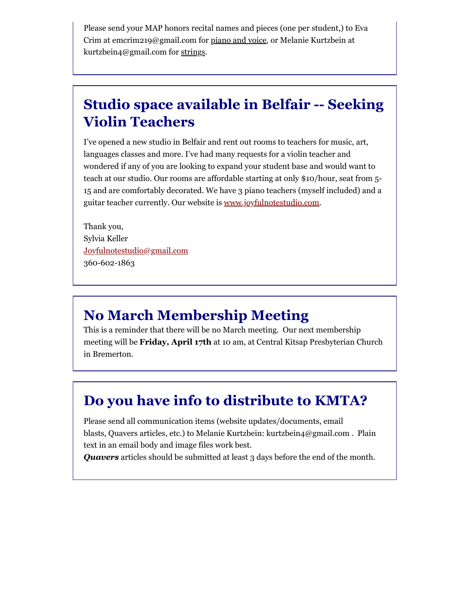Please send your MAP honors recital names and pieces (one per student,) to Eva Crim at emcrim219@gmail.com for piano and voice, or Melanie Kurtzbein at kurtzbein4@gmail.com for strings.

### **Studio space available in Belfair -- Seeking Violin Teachers**

I've opened a new studio in Belfair and rent out rooms to teachers for music, art, languages classes and more. I've had many requests for a violin teacher and wondered if any of you are looking to expand your student base and would want to teach at our studio. Our rooms are affordable starting at only \$10/hour, seat from 5- 15 and are comfortably decorated. We have 3 piano teachers (myself included) and a guitar teacher currently. Our website is [www.joyfulnotestudio.com.](http://www.joyfulnotestudio.com/)

Thank you, Sylvia Keller [Joyfulnotestudio@gmail.com](mailto:Joyfulnotestudio@gmail.com) 360-602-1863

### **No March Membership Meeting**

This is a reminder that there will be no March meeting. Our next membership meeting will be **Friday, April 17th** at 10 am, at Central Kitsap Presbyterian Church in Bremerton.

### **Do you have info to distribute to KMTA?**

Please send all communication items (website updates/documents, email blasts, Quavers articles, etc.) to Melanie Kurtzbein: kurtzbein4@gmail.com . Plain text in an email body and image files work best.

*Quavers* articles should be submitted at least 3 days before the end of the month.